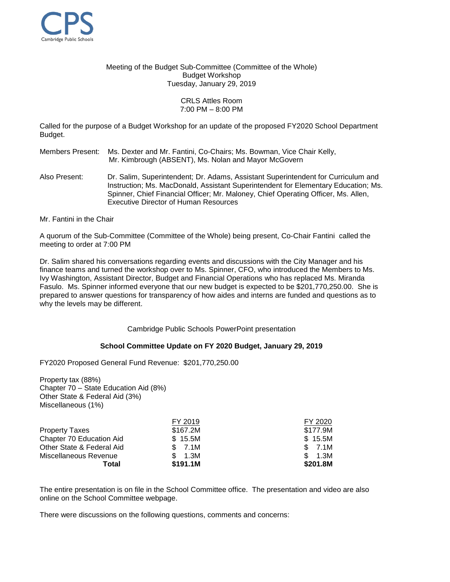

Meeting of the Budget Sub-Committee (Committee of the Whole) Budget Workshop Tuesday, January 29, 2019

## CRLS Attles Room 7:00 PM – 8:00 PM

Called for the purpose of a Budget Workshop for an update of the proposed FY2020 School Department Budget.

Members Present: Ms. Dexter and Mr. Fantini, Co-Chairs; Ms. Bowman, Vice Chair Kelly, Mr. Kimbrough (ABSENT), Ms. Nolan and Mayor McGovern

- Also Present: Dr. Salim, Superintendent; Dr. Adams, Assistant Superintendent for Curriculum and Instruction; Ms. MacDonald, Assistant Superintendent for Elementary Education; Ms. Spinner, Chief Financial Officer; Mr. Maloney, Chief Operating Officer, Ms. Allen, Executive Director of Human Resources
- Mr. Fantini in the Chair

A quorum of the Sub-Committee (Committee of the Whole) being present, Co-Chair Fantini called the meeting to order at 7:00 PM

Dr. Salim shared his conversations regarding events and discussions with the City Manager and his finance teams and turned the workshop over to Ms. Spinner, CFO, who introduced the Members to Ms. Ivy Washington, Assistant Director, Budget and Financial Operations who has replaced Ms. Miranda Fasulo. Ms. Spinner informed everyone that our new budget is expected to be \$201,770,250.00. She is prepared to answer questions for transparency of how aides and interns are funded and questions as to why the levels may be different.

Cambridge Public Schools PowerPoint presentation

## **School Committee Update on FY 2020 Budget, January 29, 2019**

FY2020 Proposed General Fund Revenue: \$201,770,250.00

Property tax (88%) Chapter 70 – State Education Aid (8%) Other State & Federal Aid (3%) Miscellaneous (1%)

|                           | FY 2019  | FY 2020  |
|---------------------------|----------|----------|
| <b>Property Taxes</b>     | \$167.2M | \$177.9M |
| Chapter 70 Education Aid  | \$15.5M  | \$15.5M  |
| Other State & Federal Aid | \$7.1M   | \$7.1M   |
| Miscellaneous Revenue     | 1.3M     | \$1.3M   |
| Total                     | \$191.1M | \$201.8M |

The entire presentation is on file in the School Committee office. The presentation and video are also online on the School Committee webpage.

There were discussions on the following questions, comments and concerns: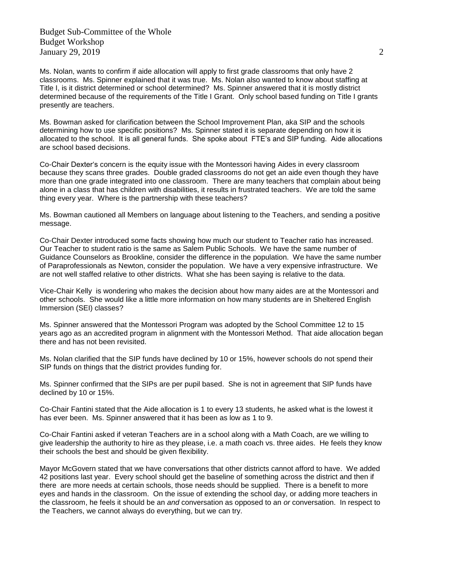Budget Sub-Committee of the Whole Budget Workshop January 29, 2019  $\hspace{1.5cm}$  2019

Ms. Nolan, wants to confirm if aide allocation will apply to first grade classrooms that only have 2 classrooms. Ms. Spinner explained that it was true. Ms. Nolan also wanted to know about staffing at Title I, is it district determined or school determined? Ms. Spinner answered that it is mostly district determined because of the requirements of the Title I Grant. Only school based funding on Title I grants presently are teachers.

Ms. Bowman asked for clarification between the School Improvement Plan, aka SIP and the schools determining how to use specific positions? Ms. Spinner stated it is separate depending on how it is allocated to the school. It is all general funds. She spoke about FTE's and SIP funding. Aide allocations are school based decisions.

Co-Chair Dexter's concern is the equity issue with the Montessori having Aides in every classroom because they scans three grades. Double graded classrooms do not get an aide even though they have more than one grade integrated into one classroom. There are many teachers that complain about being alone in a class that has children with disabilities, it results in frustrated teachers. We are told the same thing every year. Where is the partnership with these teachers?

Ms. Bowman cautioned all Members on language about listening to the Teachers, and sending a positive message.

Co-Chair Dexter introduced some facts showing how much our student to Teacher ratio has increased. Our Teacher to student ratio is the same as Salem Public Schools. We have the same number of Guidance Counselors as Brookline, consider the difference in the population. We have the same number of Paraprofessionals as Newton, consider the population. We have a very expensive infrastructure. We are not well staffed relative to other districts. What she has been saying is relative to the data.

Vice-Chair Kelly is wondering who makes the decision about how many aides are at the Montessori and other schools. She would like a little more information on how many students are in Sheltered English Immersion (SEI) classes?

Ms. Spinner answered that the Montessori Program was adopted by the School Committee 12 to 15 years ago as an accredited program in alignment with the Montessori Method. That aide allocation began there and has not been revisited.

Ms. Nolan clarified that the SIP funds have declined by 10 or 15%, however schools do not spend their SIP funds on things that the district provides funding for.

Ms. Spinner confirmed that the SIPs are per pupil based. She is not in agreement that SIP funds have declined by 10 or 15%.

Co-Chair Fantini stated that the Aide allocation is 1 to every 13 students, he asked what is the lowest it has ever been. Ms. Spinner answered that it has been as low as 1 to 9.

Co-Chair Fantini asked if veteran Teachers are in a school along with a Math Coach, are we willing to give leadership the authority to hire as they please, i.e. a math coach vs. three aides. He feels they know their schools the best and should be given flexibility.

Mayor McGovern stated that we have conversations that other districts cannot afford to have. We added 42 positions last year. Every school should get the baseline of something across the district and then if there are more needs at certain schools, those needs should be supplied. There is a benefit to more eyes and hands in the classroom. On the issue of extending the school day, or adding more teachers in the classroom, he feels it should be an *and* conversation as opposed to an *or* conversation. In respect to the Teachers, we cannot always do everything, but we can try.